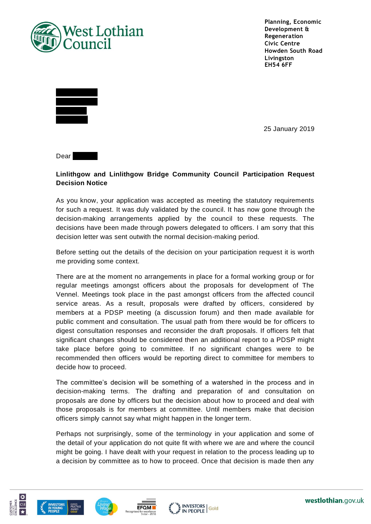

**Planning, Economic Development & Regeneration Civic Centre Howden South Road Livingston EH54 6FF**



25 January 2019

Dear Mr Allen

## **Linlithgow and Linlithgow Bridge Community Council Participation Request Decision Notice**

As you know, your application was accepted as meeting the statutory requirements for such a request. It was duly validated by the council. It has now gone through the decision-making arrangements applied by the council to these requests. The decisions have been made through powers delegated to officers. I am sorry that this decision letter was sent outwith the normal decision-making period.

Before setting out the details of the decision on your participation request it is worth me providing some context.

There are at the moment no arrangements in place for a formal working group or for regular meetings amongst officers about the proposals for development of The Vennel. Meetings took place in the past amongst officers from the affected council service areas. As a result, proposals were drafted by officers, considered by members at a PDSP meeting (a discussion forum) and then made available for public comment and consultation. The usual path from there would be for officers to digest consultation responses and reconsider the draft proposals. If officers felt that significant changes should be considered then an additional report to a PDSP might take place before going to committee. If no significant changes were to be recommended then officers would be reporting direct to committee for members to decide how to proceed.

The committee's decision will be something of a watershed in the process and in decision-making terms. The drafting and preparation of and consultation on proposals are done by officers but the decision about how to proceed and deal with those proposals is for members at committee. Until members make that decision officers simply cannot say what might happen in the longer term.

Perhaps not surprisingly, some of the terminology in your application and some of the detail of your application do not quite fit with where we are and where the council might be going. I have dealt with your request in relation to the process leading up to a decision by committee as to how to proceed. Once that decision is made then any







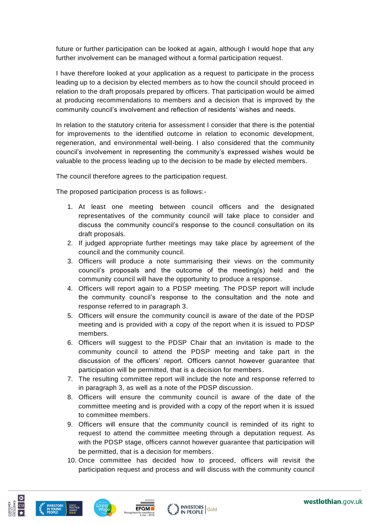future or further participation can be looked at again, although I would hope that any further involvement can be managed without a formal participation request.

I have therefore looked at your application as a request to participate in the process leading up to a decision by elected members as to how the council should proceed in relation to the draft proposals prepared by officers. That participation would be aimed at producing recommendations to members and a decision that is improved by the community council's involvement and reflection of residents' wishes and needs.

In relation to the statutory criteria for assessment I consider that there is the potential for improvements to the identified outcome in relation to economic development, regeneration, and environmental well-being. I also considered that the community council's involvement in representing the community's expressed wishes would be valuable to the process leading up to the decision to be made by elected members.

The council therefore agrees to the participation request.

The proposed participation process is as follows:-

- 1. At least one meeting between council officers and the designated representatives of the community council will take place to consider and discuss the community council's response to the council consultation on its draft proposals.
- 2. If judged appropriate further meetings may take place by agreement of the council and the community council.
- 3. Officers will produce a note summarising their views on the community council's proposals and the outcome of the meeting(s) held and the community council will have the opportunity to produce a response.
- 4. Officers will report again to a PDSP meeting. The PDSP report will include the community council's response to the consultation and the note and response referred to in paragraph 3.
- 5. Officers will ensure the community council is aware of the date of the PDSP meeting and is provided with a copy of the report when it is issued to PDSP members.
- 6. Officers will suggest to the PDSP Chair that an invitation is made to the community council to attend the PDSP meeting and take part in the discussion of the officers' report. Officers cannot however guarantee that participation will be permitted, that is a decision for members.
- 7. The resulting committee report will include the note and response referred to in paragraph 3, as well as a note of the PDSP discussion.
- 8. Officers will ensure the community council is aware of the date of the committee meeting and is provided with a copy of the report when it is issued to committee members.
- 9. Officers will ensure that the community council is reminded of its right to request to attend the committee meeting through a deputation request. As with the PDSP stage, officers cannot however guarantee that participation will be permitted, that is a decision for members.
- 10. Once committee has decided how to proceed, officers will revisit the participation request and process and will discuss with the community council